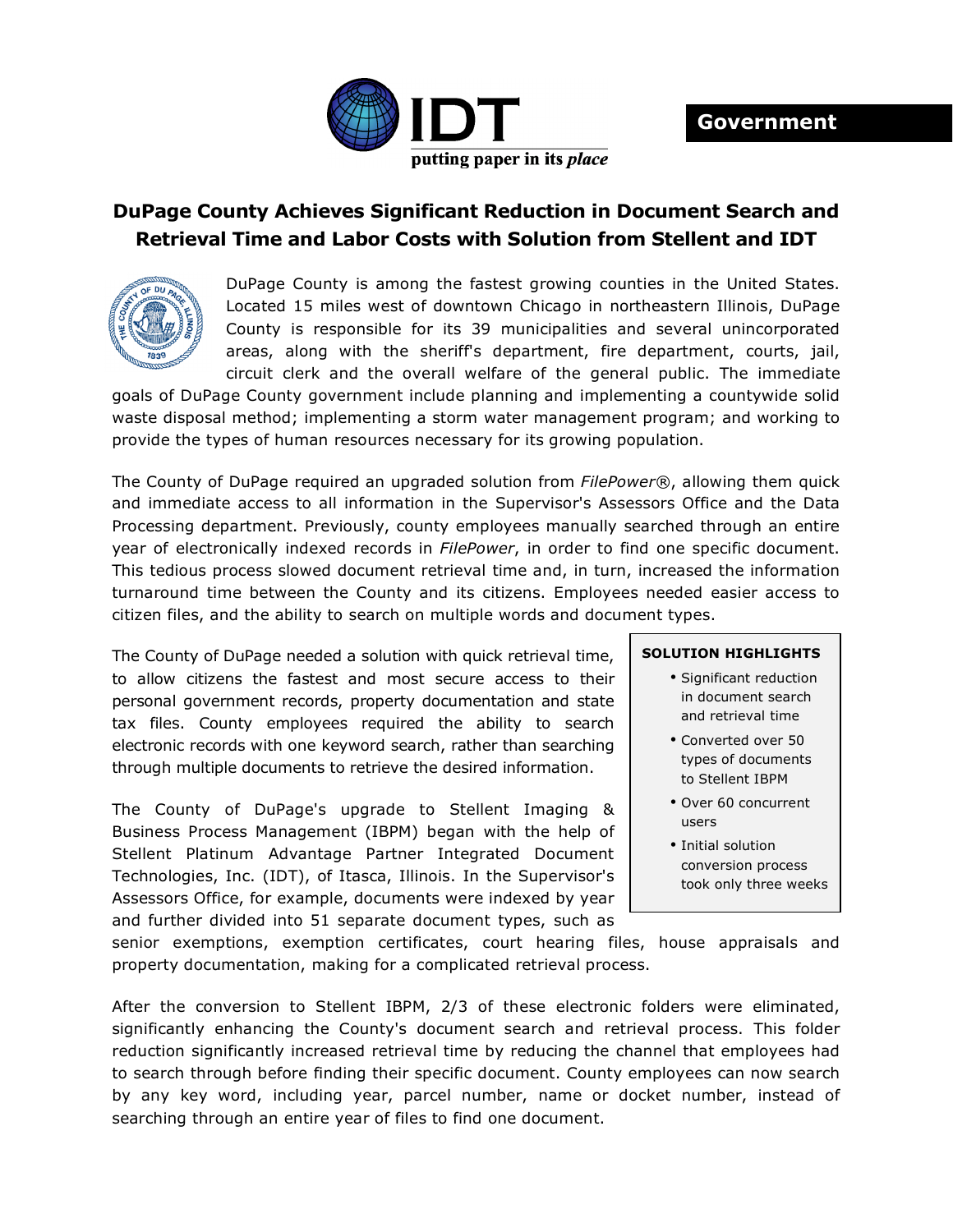

## **DuPage County Achieves Significant Reduction in Document Search and Retrieval Time and Labor Costs with Solution from Stellent and IDT**



DuPage County is among the fastest growing counties in the United States. Located 15 miles west of downtown Chicago in northeastern Illinois, DuPage County is responsible for its 39 municipalities and several unincorporated areas, along with the sheriff's department, fire department, courts, jail, circuit clerk and the overall welfare of the general public. The immediate

goals of DuPage County government include planning and implementing a countywide solid waste disposal method; implementing a storm water management program; and working to provide the types of human resources necessary for its growing population.

The County of DuPage required an upgraded solution from *FilePower®*, allowing them quick and immediate access to all information in the Supervisor's Assessors Office and the Data Processing department. Previously, county employees manually searched through an entire year of electronically indexed records in *FilePower*, in order to find one specific document. This tedious process slowed document retrieval time and, in turn, increased the information turnaround time between the County and its citizens. Employees needed easier access to citizen files, and the ability to search on multiple words and document types.

The County of DuPage needed a solution with quick retrieval time, to allow citizens the fastest and most secure access to their personal government records, property documentation and state tax files. County employees required the ability to search electronic records with one keyword search, rather than searching through multiple documents to retrieve the desired information.

The County of DuPage's upgrade to Stellent Imaging & Business Process Management (IBPM) began with the help of Stellent Platinum Advantage Partner Integrated Document Technologies, Inc. (IDT), of Itasca, Illinois. In the Supervisor's Assessors Office, for example, documents were indexed by year and further divided into 51 separate document types, such as

## **SOLUTION HIGHLIGHTS**

- Significant reduction in document search and retrieval time
- Converted over 50 types of documents to Stellent IBPM
- Over 60 concurrent users
- Initial solution conversion process took only three weeks

senior exemptions, exemption certificates, court hearing files, house appraisals and property documentation, making for a complicated retrieval process.

After the conversion to Stellent IBPM, 2/3 of these electronic folders were eliminated, significantly enhancing the County's document search and retrieval process. This folder reduction significantly increased retrieval time by reducing the channel that employees had to search through before finding their specific document. County employees can now search by any key word, including year, parcel number, name or docket number, instead of searching through an entire year of files to find one document.